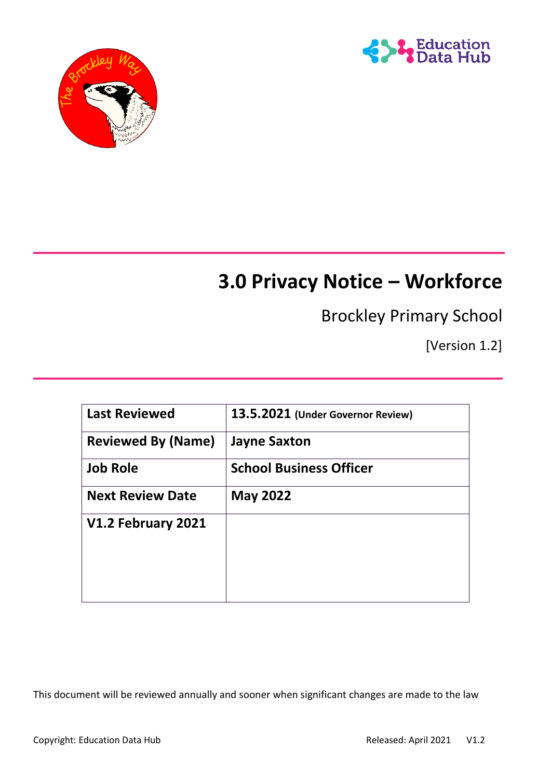



# **3.0 Privacy Notice – Workforce**

# Brockley Primary School

[Version 1.2]

| <b>Last Reviewed</b>      | 13.5.2021 (Under Governor Review) |
|---------------------------|-----------------------------------|
| <b>Reviewed By (Name)</b> | <b>Jayne Saxton</b>               |
| <b>Job Role</b>           | <b>School Business Officer</b>    |
| <b>Next Review Date</b>   | <b>May 2022</b>                   |
| V1.2 February 2021        |                                   |
|                           |                                   |
|                           |                                   |
|                           |                                   |

This document will be reviewed annually and sooner when significant changes are made to the law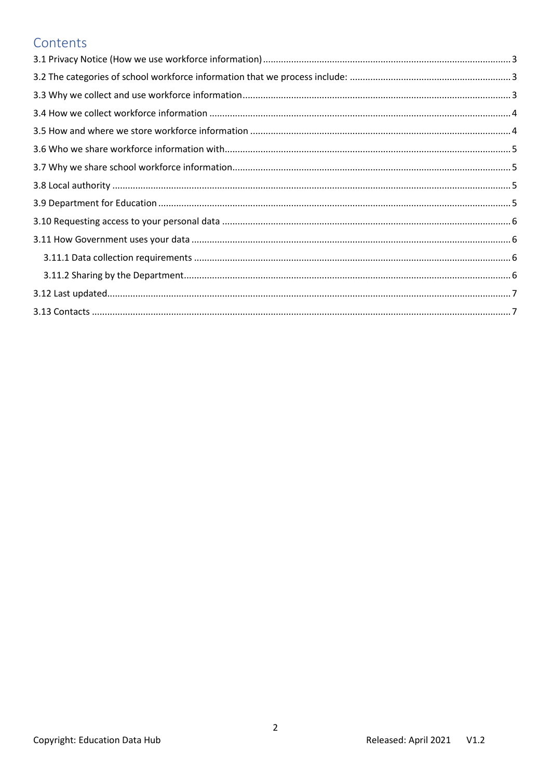# Contents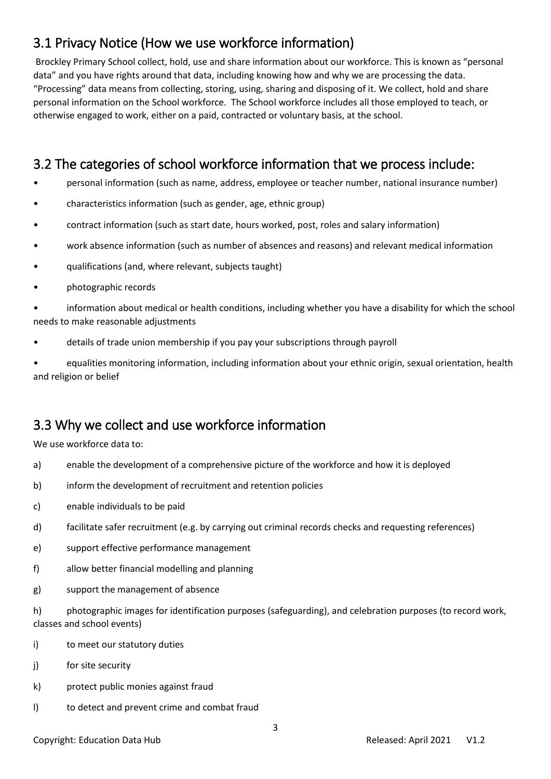# <span id="page-2-0"></span>3.1 Privacy Notice (How we use workforce information)

Brockley Primary School collect, hold, use and share information about our workforce. This is known as "personal data" and you have rights around that data, including knowing how and why we are processing the data. "Processing" data means from collecting, storing, using, sharing and disposing of it. We collect, hold and share personal information on the School workforce. The School workforce includes all those employed to teach, or otherwise engaged to work, either on a paid, contracted or voluntary basis, at the school.

# <span id="page-2-1"></span>3.2 The categories of school workforce information that we process include:

- personal information (such as name, address, employee or teacher number, national insurance number)
- characteristics information (such as gender, age, ethnic group)
- contract information (such as start date, hours worked, post, roles and salary information)
- work absence information (such as number of absences and reasons) and relevant medical information
- qualifications (and, where relevant, subjects taught)
- photographic records

• information about medical or health conditions, including whether you have a disability for which the school needs to make reasonable adjustments

• details of trade union membership if you pay your subscriptions through payroll

• equalities monitoring information, including information about your ethnic origin, sexual orientation, health and religion or belief

# <span id="page-2-2"></span>3.3 Why we collect and use workforce information

We use workforce data to:

- a) enable the development of a comprehensive picture of the workforce and how it is deployed
- b) inform the development of recruitment and retention policies
- c) enable individuals to be paid
- d) facilitate safer recruitment (e.g. by carrying out criminal records checks and requesting references)
- e) support effective performance management
- f) allow better financial modelling and planning
- g) support the management of absence

h) photographic images for identification purposes (safeguarding), and celebration purposes (to record work, classes and school events)

- i) to meet our statutory duties
- j) for site security
- k) protect public monies against fraud
- l) to detect and prevent crime and combat fraud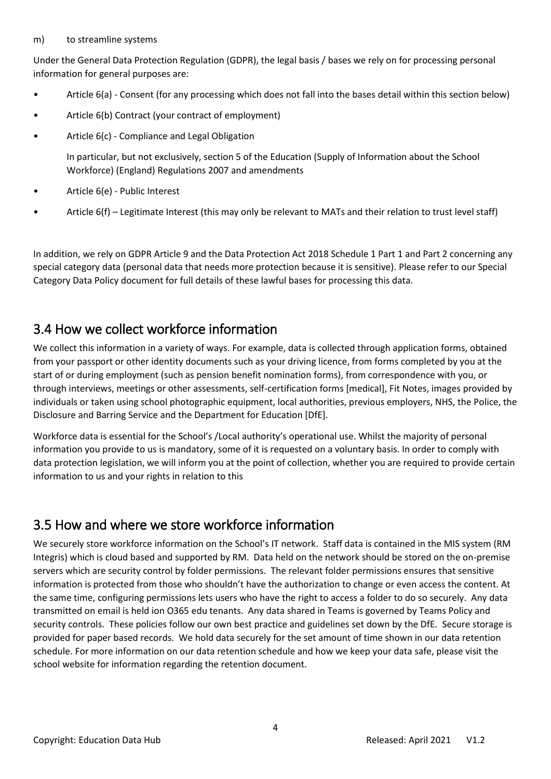#### m) to streamline systems

Under the General Data Protection Regulation (GDPR), the legal basis / bases we rely on for processing personal information for general purposes are:

- Article 6(a) Consent (for any processing which does not fall into the bases detail within this section below)
- Article 6(b) Contract (your contract of employment)
- Article 6(c) Compliance and Legal Obligation

In particular, but not exclusively, section 5 of the Education (Supply of Information about the School Workforce) (England) Regulations 2007 and amendments

- Article 6(e) Public Interest
- Article 6(f) Legitimate Interest (this may only be relevant to MATs and their relation to trust level staff)

In addition, we rely on GDPR Article 9 and the Data Protection Act 2018 Schedule 1 Part 1 and Part 2 concerning any special category data (personal data that needs more protection because it is sensitive). Please refer to our Special Category Data Policy document for full details of these lawful bases for processing this data.

## <span id="page-3-0"></span>3.4 How we collect workforce information

We collect this information in a variety of ways. For example, data is collected through application forms, obtained from your passport or other identity documents such as your driving licence, from forms completed by you at the start of or during employment (such as pension benefit nomination forms), from correspondence with you, or through interviews, meetings or other assessments, self-certification forms [medical], Fit Notes, images provided by individuals or taken using school photographic equipment, local authorities, previous employers, NHS, the Police, the Disclosure and Barring Service and the Department for Education [DfE].

Workforce data is essential for the School's /Local authority's operational use. Whilst the majority of personal information you provide to us is mandatory, some of it is requested on a voluntary basis. In order to comply with data protection legislation, we will inform you at the point of collection, whether you are required to provide certain information to us and your rights in relation to this

## <span id="page-3-1"></span>3.5 How and where we store workforce information

We securely store workforce information on the School's IT network. Staff data is contained in the MIS system (RM Integris) which is cloud based and supported by RM. Data held on the network should be stored on the on-premise servers which are security control by folder permissions. The relevant folder permissions ensures that sensitive information is protected from those who shouldn't have the authorization to change or even access the content. At the same time, configuring permissions lets users who have the right to access a folder to do so securely. Any data transmitted on email is held ion O365 edu tenants. Any data shared in Teams is governed by Teams Policy and security controls. These policies follow our own best practice and guidelines set down by the DfE. Secure storage is provided for paper based records. We hold data securely for the set amount of time shown in our data retention schedule. For more information on our data retention schedule and how we keep your data safe, please visit the school website for information regarding the retention document.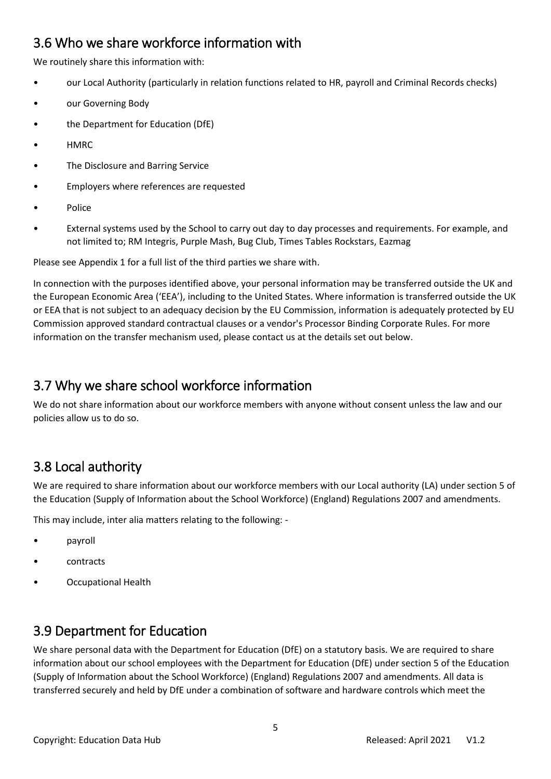# <span id="page-4-0"></span>3.6 Who we share workforce information with

We routinely share this information with:

- our Local Authority (particularly in relation functions related to HR, payroll and Criminal Records checks)
- our Governing Body
- the Department for Education (DfE)
- HMRC
- The Disclosure and Barring Service
- Employers where references are requested
- Police
- External systems used by the School to carry out day to day processes and requirements. For example, and not limited to; RM Integris, Purple Mash, Bug Club, Times Tables Rockstars, Eazmag

Please see Appendix 1 for a full list of the third parties we share with.

In connection with the purposes identified above, your personal information may be transferred outside the UK and the European Economic Area ('EEA'), including to the United States. Where information is transferred outside the UK or EEA that is not subject to an adequacy decision by the EU Commission, information is adequately protected by EU Commission approved standard contractual clauses or a vendor's Processor Binding Corporate Rules. For more information on the transfer mechanism used, please contact us at the details set out below.

# <span id="page-4-1"></span>3.7 Why we share school workforce information

We do not share information about our workforce members with anyone without consent unless the law and our policies allow us to do so.

# <span id="page-4-2"></span>3.8 Local authority

We are required to share information about our workforce members with our Local authority (LA) under section 5 of the Education (Supply of Information about the School Workforce) (England) Regulations 2007 and amendments.

This may include, inter alia matters relating to the following: -

- payroll
- contracts
- Occupational Health

## <span id="page-4-3"></span>3.9 Department for Education

We share personal data with the Department for Education (DfE) on a statutory basis. We are required to share information about our school employees with the Department for Education (DfE) under section 5 of the Education (Supply of Information about the School Workforce) (England) Regulations 2007 and amendments. All data is transferred securely and held by DfE under a combination of software and hardware controls which meet the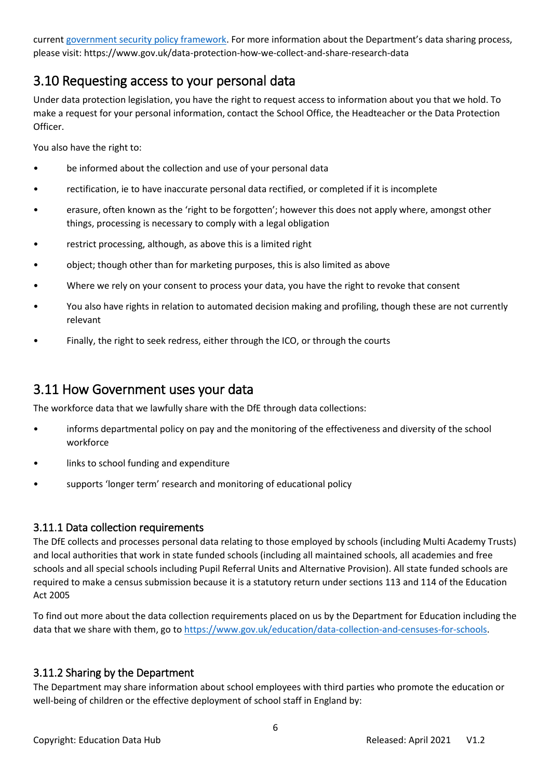curren[t government security policy framework.](https://www.gov.uk/government/publications/security-policy-framework) For more information about the Department's data sharing process, please visit: https://www.gov.uk/data-protection-how-we-collect-and-share-research-data

# <span id="page-5-0"></span>3.10 Requesting access to your personal data

Under data protection legislation, you have the right to request access to information about you that we hold. To make a request for your personal information, contact the School Office, the Headteacher or the Data Protection Officer.

You also have the right to:

- be informed about the collection and use of your personal data
- rectification, ie to have inaccurate personal data rectified, or completed if it is incomplete
- erasure, often known as the 'right to be forgotten'; however this does not apply where, amongst other things, processing is necessary to comply with a legal obligation
- restrict processing, although, as above this is a limited right
- object; though other than for marketing purposes, this is also limited as above
- Where we rely on your consent to process your data, you have the right to revoke that consent
- You also have rights in relation to automated decision making and profiling, though these are not currently relevant
- Finally, the right to seek redress, either through the ICO, or through the courts

#### <span id="page-5-1"></span>3.11 How Government uses your data

The workforce data that we lawfully share with the DfE through data collections:

- informs departmental policy on pay and the monitoring of the effectiveness and diversity of the school workforce
- links to school funding and expenditure
- supports 'longer term' research and monitoring of educational policy

#### <span id="page-5-2"></span>3.11.1 Data collection requirements

The DfE collects and processes personal data relating to those employed by schools (including Multi Academy Trusts) and local authorities that work in state funded schools (including all maintained schools, all academies and free schools and all special schools including Pupil Referral Units and Alternative Provision). All state funded schools are required to make a census submission because it is a statutory return under sections 113 and 114 of the Education Act 2005

To find out more about the data collection requirements placed on us by the Department for Education including the data that we share with them, go to [https://www.gov.uk/education/data-collection-and-censuses-for-schools.](https://www.gov.uk/education/data-collection-and-censuses-for-schools)

#### <span id="page-5-3"></span>3.11.2 Sharing by the Department

The Department may share information about school employees with third parties who promote the education or well-being of children or the effective deployment of school staff in England by: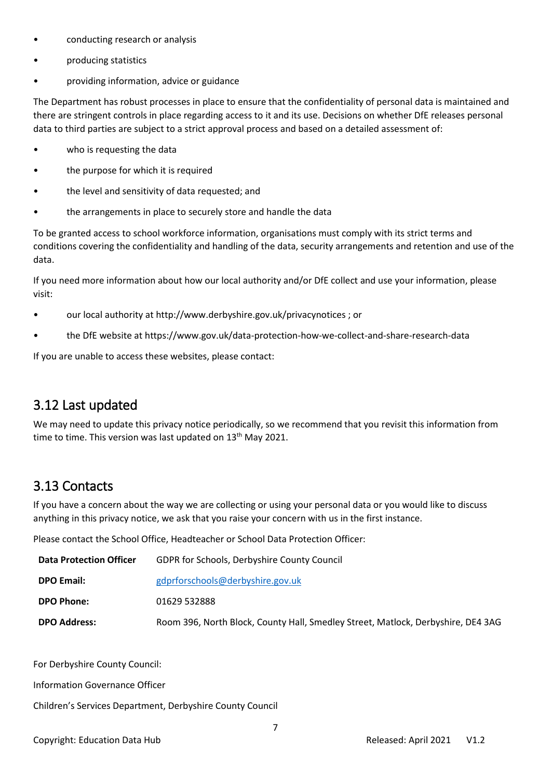- conducting research or analysis
- producing statistics
- providing information, advice or guidance

The Department has robust processes in place to ensure that the confidentiality of personal data is maintained and there are stringent controls in place regarding access to it and its use. Decisions on whether DfE releases personal data to third parties are subject to a strict approval process and based on a detailed assessment of:

- who is requesting the data
- the purpose for which it is required
- the level and sensitivity of data requested; and
- the arrangements in place to securely store and handle the data

To be granted access to school workforce information, organisations must comply with its strict terms and conditions covering the confidentiality and handling of the data, security arrangements and retention and use of the data.

If you need more information about how our local authority and/or DfE collect and use your information, please visit:

- our local authority at http://www.derbyshire.gov.uk/privacynotices ; or
- the DfE website at https://www.gov.uk/data-protection-how-we-collect-and-share-research-data

If you are unable to access these websites, please contact:

## <span id="page-6-0"></span>3.12 Last updated

We may need to update this privacy notice periodically, so we recommend that you revisit this information from time to time. This version was last updated on  $13<sup>th</sup>$  May 2021.

### <span id="page-6-1"></span>3.13 Contacts

If you have a concern about the way we are collecting or using your personal data or you would like to discuss anything in this privacy notice, we ask that you raise your concern with us in the first instance.

Please contact the School Office, Headteacher or School Data Protection Officer:

| <b>Data Protection Officer</b> | GDPR for Schools, Derbyshire County Council                                      |  |  |
|--------------------------------|----------------------------------------------------------------------------------|--|--|
| <b>DPO Email:</b>              | gdprforschools@derbyshire.gov.uk                                                 |  |  |
| <b>DPO Phone:</b>              | 01629 532888                                                                     |  |  |
| <b>DPO Address:</b>            | Room 396, North Block, County Hall, Smedley Street, Matlock, Derbyshire, DE4 3AG |  |  |

For Derbyshire County Council:

Information Governance Officer

Children's Services Department, Derbyshire County Council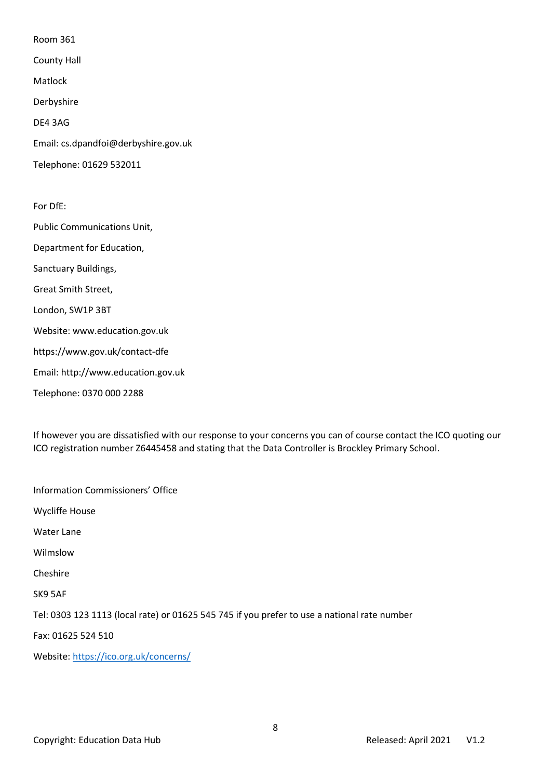Room 361

County Hall

Matlock

Derbyshire

DE4 3AG

Email: cs.dpandfoi@derbyshire.gov.uk

Telephone: 01629 532011

For DfE: Public Communications Unit, Department for Education, Sanctuary Buildings, Great Smith Street, London, SW1P 3BT Website: www.education.gov.uk https://www.gov.uk/contact-dfe Email: http://www.education.gov.uk Telephone: 0370 000 2288

If however you are dissatisfied with our response to your concerns you can of course contact the ICO quoting our ICO registration number Z6445458 and stating that the Data Controller is Brockley Primary School.

Information Commissioners' Office Wycliffe House Water Lane Wilmslow Cheshire SK9 5AF Tel: 0303 123 1113 (local rate) or 01625 545 745 if you prefer to use a national rate number Fax: 01625 524 510 Website[: https://ico.org.uk/concerns/](https://ico.org.uk/concerns/)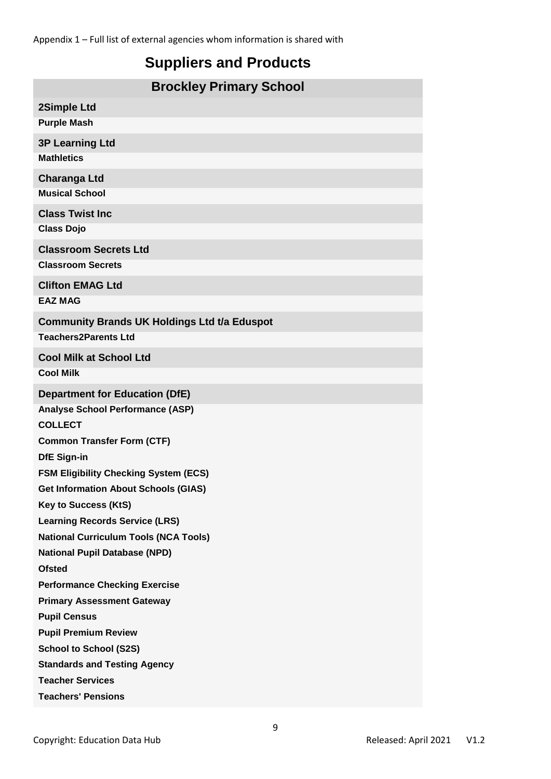Appendix 1 – Full list of external agencies whom information is shared with

# **Suppliers and Products**

| <b>Brockley Primary School</b>                      |  |  |  |  |
|-----------------------------------------------------|--|--|--|--|
| 2Simple Ltd                                         |  |  |  |  |
| <b>Purple Mash</b>                                  |  |  |  |  |
| <b>3P Learning Ltd</b>                              |  |  |  |  |
| <b>Mathletics</b>                                   |  |  |  |  |
| <b>Charanga Ltd</b>                                 |  |  |  |  |
| <b>Musical School</b>                               |  |  |  |  |
| <b>Class Twist Inc.</b>                             |  |  |  |  |
| <b>Class Dojo</b>                                   |  |  |  |  |
| <b>Classroom Secrets Ltd</b>                        |  |  |  |  |
| <b>Classroom Secrets</b>                            |  |  |  |  |
| <b>Clifton EMAG Ltd</b>                             |  |  |  |  |
| <b>EAZ MAG</b>                                      |  |  |  |  |
| <b>Community Brands UK Holdings Ltd t/a Eduspot</b> |  |  |  |  |
| <b>Teachers2Parents Ltd</b>                         |  |  |  |  |
| <b>Cool Milk at School Ltd</b>                      |  |  |  |  |
| <b>Cool Milk</b>                                    |  |  |  |  |
| <b>Department for Education (DfE)</b>               |  |  |  |  |
| <b>Analyse School Performance (ASP)</b>             |  |  |  |  |
| <b>COLLECT</b>                                      |  |  |  |  |
| <b>Common Transfer Form (CTF)</b>                   |  |  |  |  |
| <b>DfE Sign-in</b>                                  |  |  |  |  |
| <b>FSM Eligibility Checking System (ECS)</b>        |  |  |  |  |
| <b>Get Information About Schools (GIAS)</b>         |  |  |  |  |
| <b>Key to Success (KtS)</b>                         |  |  |  |  |
| <b>Learning Records Service (LRS)</b>               |  |  |  |  |
| <b>National Curriculum Tools (NCA Tools)</b>        |  |  |  |  |
| <b>National Pupil Database (NPD)</b>                |  |  |  |  |
| <b>Ofsted</b>                                       |  |  |  |  |
| <b>Performance Checking Exercise</b>                |  |  |  |  |
| <b>Primary Assessment Gateway</b>                   |  |  |  |  |
| <b>Pupil Census</b>                                 |  |  |  |  |
| <b>Pupil Premium Review</b>                         |  |  |  |  |
| <b>School to School (S2S)</b>                       |  |  |  |  |
| <b>Standards and Testing Agency</b>                 |  |  |  |  |
| <b>Teacher Services</b>                             |  |  |  |  |
| <b>Teachers' Pensions</b>                           |  |  |  |  |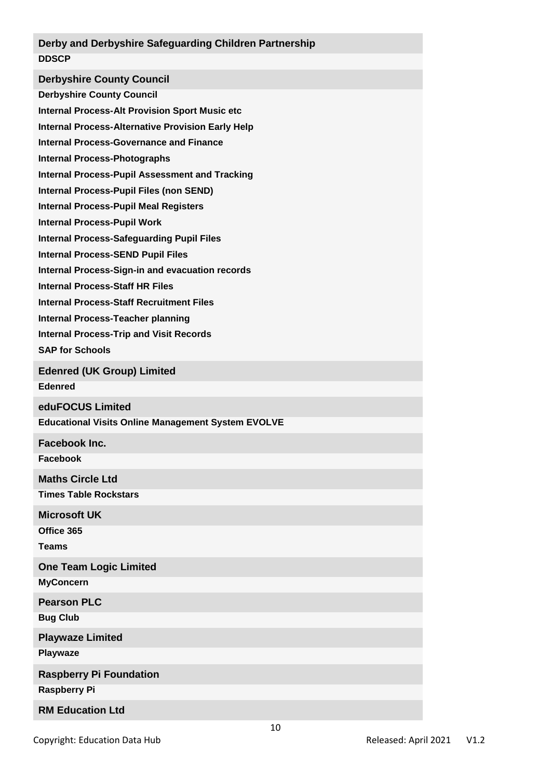#### **Derby and Derbyshire Safeguarding Children Partnership DDSCP**

**Derbyshire County Council**

**Derbyshire County Council**

**Internal Process-Alt Provision Sport Music etc**

**Internal Process-Alternative Provision Early Help**

**Internal Process-Governance and Finance**

**Internal Process-Photographs**

**Internal Process-Pupil Assessment and Tracking**

**Internal Process-Pupil Files (non SEND)**

**Internal Process-Pupil Meal Registers**

**Internal Process-Pupil Work**

**Internal Process-Safeguarding Pupil Files**

**Internal Process-SEND Pupil Files**

**Internal Process-Sign-in and evacuation records**

**Internal Process-Staff HR Files**

**Internal Process-Staff Recruitment Files** 

**Internal Process-Teacher planning**

**Internal Process-Trip and Visit Records**

**SAP for Schools**

**Edenred (UK Group) Limited**

**Edenred**

**eduFOCUS Limited**

**Educational Visits Online Management System EVOLVE**

**Facebook Inc.**

**Facebook**

**Maths Circle Ltd**

**Times Table Rockstars**

**Microsoft UK**

**Office 365**

**Teams**

**One Team Logic Limited MyConcern**

**Pearson PLC**

**Bug Club**

**Playwaze Limited**

**Playwaze**

**Raspberry Pi Foundation**

**Raspberry Pi**

**RM Education Ltd**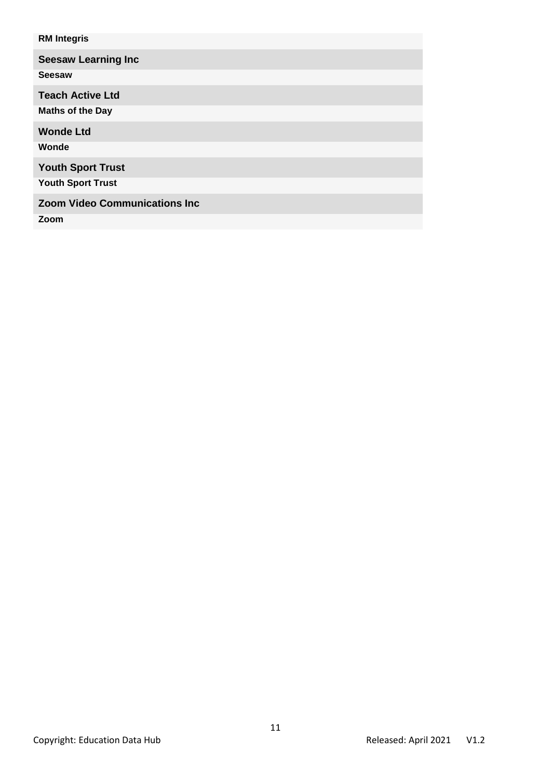| <b>RM Integris</b>                   |
|--------------------------------------|
| <b>Seesaw Learning Inc</b>           |
| <b>Seesaw</b>                        |
| <b>Teach Active Ltd</b>              |
| <b>Maths of the Day</b>              |
| <b>Wonde Ltd</b>                     |
| Wonde                                |
| <b>Youth Sport Trust</b>             |
| <b>Youth Sport Trust</b>             |
| <b>Zoom Video Communications Inc</b> |
| Zoom                                 |